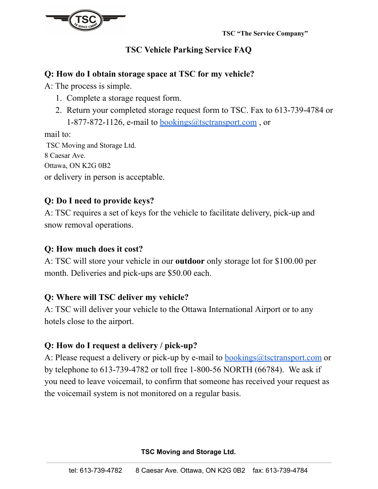

**TSC "The Service Company"**

## **TSC Vehicle Parking Service FAQ**

### **Q: How do I obtain storage space at TSC for my vehicle?**

A: The process is simple.

- 1. Complete a storage request form.
- 2. Return your completed storage request form to TSC. Fax to 613-739-4784 or 1-877-872-1126, e-mail to [bookings@tsctransport.com](mailto:bookings@tsctransport.com), or

mail to: TSC Moving and Storage Ltd. 8 Caesar Ave. Ottawa, ON K2G 0B2 or delivery in person is acceptable.

## **Q: Do I need to provide keys?**

A: TSC requires a set of keys for the vehicle to facilitate delivery, pick-up and snow removal operations.

### **Q: How much does it cost?**

A: TSC will store your vehicle in our **outdoor** only storage lot for \$100.00 per month. Deliveries and pick-ups are \$50.00 each.

## **Q: Where will TSC deliver my vehicle?**

A: TSC will deliver your vehicle to the Ottawa International Airport or to any hotels close to the airport.

## **Q: How do I request a delivery / pick-up?**

A: Please request a delivery or pick-up by e-mail to  $\frac{1}{2}$  bookings ( $\frac{2}{3}$ ) that is comported by e-mail to  $\frac{1}{2}$  bookings ( $\frac{2}{3}$ ) that is comported by e-mail to  $\frac{1}{2}$  bookings ( $\frac{2}{3}$ ) to the compor by telephone to 613-739-4782 or toll free 1-800-56 NORTH (66784). We ask if you need to leave voicemail, to confirm that someone has received your request as the voicemail system is not monitored on a regular basis.

#### **TSC Moving and Storage Ltd.**